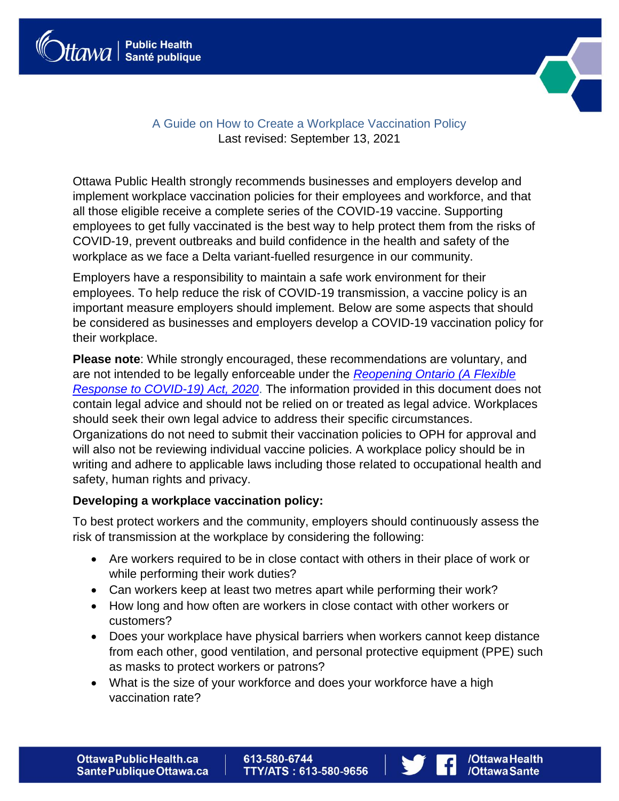



# A Guide on How to Create a Workplace Vaccination Policy Last revised: September 13, 2021

Ottawa Public Health strongly recommends businesses and employers develop and implement workplace vaccination policies for their employees and workforce, and that all those eligible receive a complete series of the COVID-19 vaccine. Supporting employees to get fully vaccinated is the best way to help protect them from the risks of COVID-19, prevent outbreaks and build confidence in the health and safety of the workplace as we face a Delta variant-fuelled resurgence in our community.

Employers have a responsibility to maintain a safe work environment for their employees. To help reduce the risk of COVID-19 transmission, a vaccine policy is an important measure employers should implement. Below are some aspects that should be considered as businesses and employers develop a COVID-19 vaccination policy for their workplace.

**Please note**: While strongly encouraged, these recommendations are voluntary, and are not intended to be legally enforceable under the *[Reopening Ontario \(A Flexible](https://www.ontario.ca/laws/statute/20r17)  [Response to COVID-19\) Act, 2020](https://www.ontario.ca/laws/statute/20r17)*. The information provided in this document does not contain legal advice and should not be relied on or treated as legal advice. Workplaces should seek their own legal advice to address their specific circumstances. Organizations do not need to submit their vaccination policies to OPH for approval and will also not be reviewing individual vaccine policies. A workplace policy should be in writing and adhere to applicable laws including those related to occupational health and safety, human rights and privacy.

## **Developing a workplace vaccination policy:**

To best protect workers and the community, employers should continuously assess the risk of transmission at the workplace by considering the following:

- Are workers required to be in close contact with others in their place of work or while performing their work duties?
- Can workers keep at least two metres apart while performing their work?
- How long and how often are workers in close contact with other workers or customers?
- Does your workplace have physical barriers when workers cannot keep distance from each other, good ventilation, and personal protective equipment (PPE) such as masks to protect workers or patrons?
- What is the size of your workforce and does your workforce have a high vaccination rate?

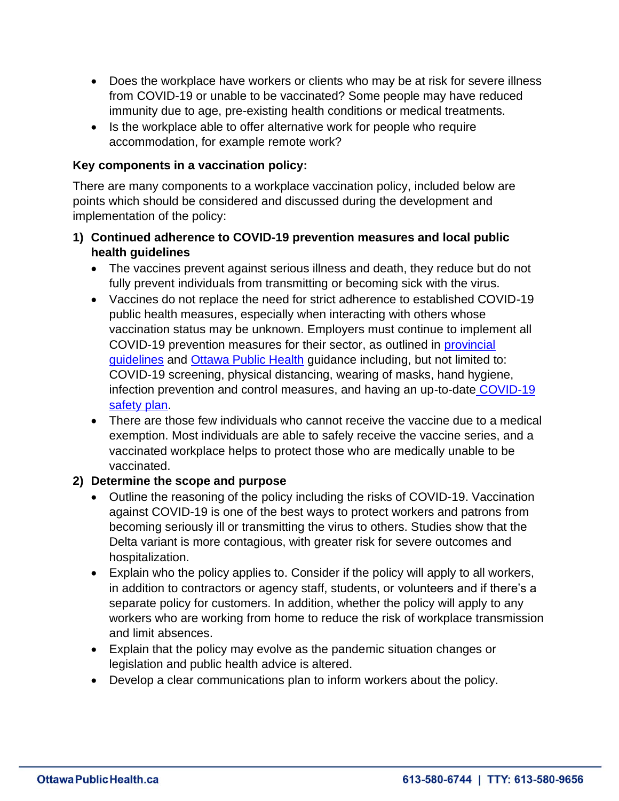- Does the workplace have workers or clients who may be at risk for severe illness from COVID-19 or unable to be vaccinated? Some people may have reduced immunity due to age, pre-existing health conditions or medical treatments.
- Is the workplace able to offer alternative work for people who require accommodation, for example remote work?

## **Key components in a vaccination policy:**

There are many components to a workplace vaccination policy, included below are points which should be considered and discussed during the development and implementation of the policy:

- **1) Continued adherence to COVID-19 prevention measures and local public health guidelines**
	- The vaccines prevent against serious illness and death, they reduce but do not fully prevent individuals from transmitting or becoming sick with the virus.
	- Vaccines do not replace the need for strict adherence to established COVID-19 public health measures, especially when interacting with others whose vaccination status may be unknown. Employers must continue to implement all COVID-19 prevention measures for their sector, as outlined in [provincial](https://www.ontario.ca/page/resources-prevent-covid-19-workplace)  [guidelines](https://www.ontario.ca/page/resources-prevent-covid-19-workplace) and [Ottawa Public Health](https://www.ottawapublichealth.ca/en/public-health-topics/covid-19-information-for-workplaces.aspx) guidance including, but not limited to: COVID-19 screening, physical distancing, wearing of masks, hand hygiene, infection prevention and control measures, and having an up-to-date [COVID-19](https://www.ottawapublichealth.ca/en/public-health-topics/resources/Documents/Update-LOI-for-employers.pdf)  [safety plan.](https://www.ottawapublichealth.ca/en/public-health-topics/resources/Documents/Update-LOI-for-employers.pdf)
	- There are those few individuals who cannot receive the vaccine due to a medical exemption. Most individuals are able to safely receive the vaccine series, and a vaccinated workplace helps to protect those who are medically unable to be vaccinated.

## **2) Determine the scope and purpose**

- Outline the reasoning of the policy including the risks of COVID-19. Vaccination against COVID-19 is one of the best ways to protect workers and patrons from becoming seriously ill or transmitting the virus to others. Studies show that the Delta variant is more contagious, with greater risk for severe outcomes and hospitalization.
- Explain who the policy applies to. Consider if the policy will apply to all workers, in addition to contractors or agency staff, students, or volunteers and if there's a separate policy for customers. In addition, whether the policy will apply to any workers who are working from home to reduce the risk of workplace transmission and limit absences.
- Explain that the policy may evolve as the pandemic situation changes or legislation and public health advice is altered.
- Develop a clear communications plan to inform workers about the policy.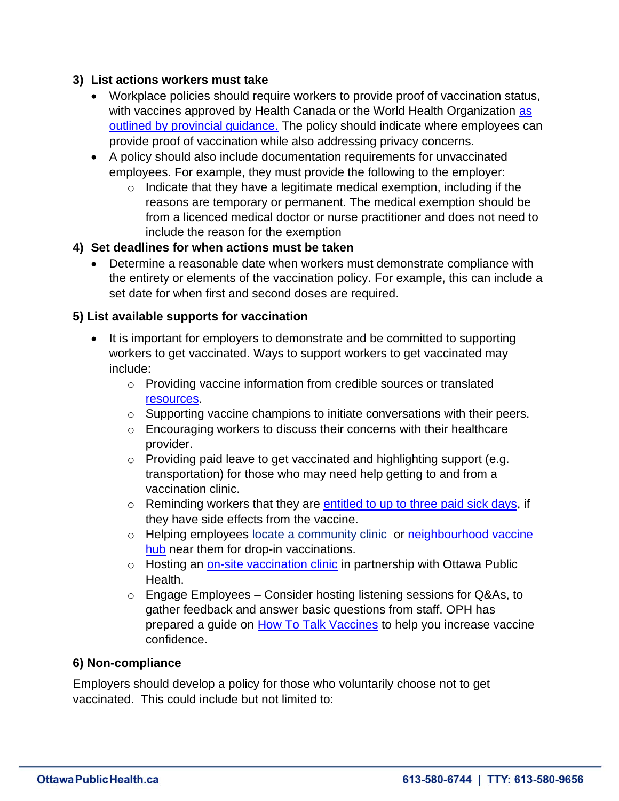## **3) List actions workers must take**

- Workplace policies should require workers to provide proof of vaccination status, with vaccines approved by Health Canada or the World Health Organization as [outlined by provincial guidance.](https://www.health.gov.on.ca/en/pro/programs/publichealth/coronavirus/docs/vaccine/COVID-19_guidance_for_individuals_vaccinated_outside_of_ontario.pdf) The policy should indicate where employees can provide proof of vaccination while also addressing privacy concerns.
- A policy should also include documentation requirements for unvaccinated employees. For example, they must provide the following to the employer:
	- $\circ$  Indicate that they have a legitimate medical exemption, including if the reasons are temporary or permanent. The medical exemption should be from a licenced medical doctor or nurse practitioner and does not need to include the reason for the exemption

## **4) Set deadlines for when actions must be taken**

• Determine a reasonable date when workers must demonstrate compliance with the entirety or elements of the vaccination policy. For example, this can include a set date for when first and second doses are required.

#### **5) List available supports for vaccination**

- It is important for employers to demonstrate and be committed to supporting workers to get vaccinated. Ways to support workers to get vaccinated may include:
	- o Providing vaccine information from credible sources or translated [resources.](https://www.ottawapublichealth.ca/en/public-health-topics/covid-19-vaccine-toolkit-for-employers.aspx)
	- o Supporting vaccine champions to initiate conversations with their peers.
	- o Encouraging workers to discuss their concerns with their healthcare provider.
	- $\circ$  Providing paid leave to get vaccinated and highlighting support (e.g. transportation) for those who may need help getting to and from a vaccination clinic.
	- o Reminding workers that they are [entitled to up to three paid sick days,](https://www.ontario.ca/document/your-guide-employment-standards-act-0/infectious-disease-emergency-leave) if they have side effects from the vaccine.
	- o Helping employees [locate a community clinic](https://www.ottawapublichealth.ca/en/public-health-topics/covid-19-vaccine.aspx?utm_source=OPH&utm_medium=Friendly_URL&utm_campaign=Coronavirus) or neighbourhood vaccine [hub](https://www.ottawapublichealth.ca/en/public-health-topics/covid-19-vaccine.aspx#Neighbourhood-Vaccination-Hubs) near them for drop-in vaccinations.
	- o [Hosting an on-site vaccination clinic](https://www.ottawapublichealth.ca/en/public-health-topics/covid-19-vaccine.aspx?utm_source=OPH&utm_medium=Friendly_URL&utm_campaign=Coronavirus#Mobile-vaccine-clinic-request) in partnership with Ottawa Public Health.
	- $\circ$  Engage Employees Consider hosting listening sessions for Q&As, to gather feedback and answer basic questions from staff. OPH has prepared a guide on [How To Talk Vaccines](https://www.ottawapublichealth.ca/en/shared-content/resources/Corona/communityimmunity/How-To-Talk-About-Vaccines-Poster-v2021.2-EN.pdf) to help you increase vaccine confidence.

#### **6) Non-compliance**

Employers should develop a policy for those who voluntarily choose not to get vaccinated. This could include but not limited to: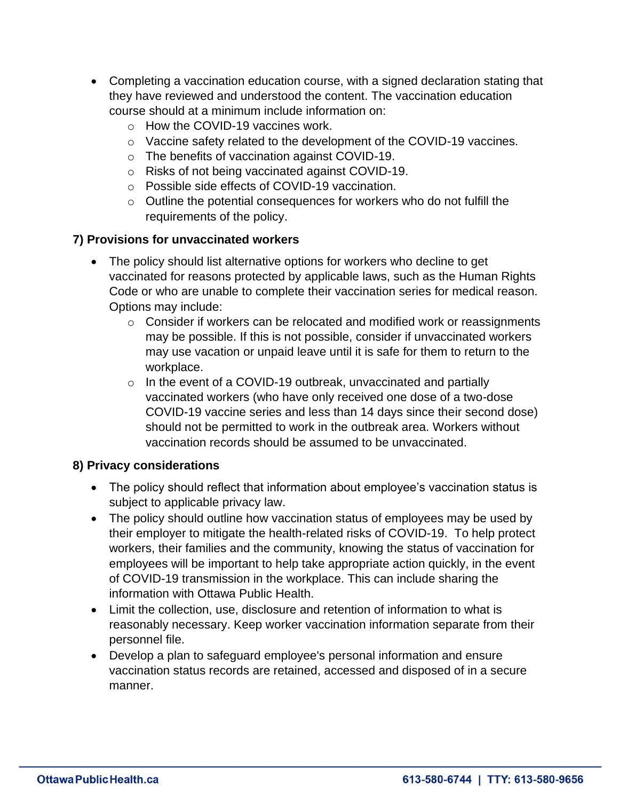- Completing a vaccination education course, with a signed declaration stating that they have reviewed and understood the content. The vaccination education course should at a minimum include information on:
	- o How the COVID-19 vaccines work.
	- o Vaccine safety related to the development of the COVID-19 vaccines.
	- o The benefits of vaccination against COVID-19.
	- o Risks of not being vaccinated against COVID-19.
	- o Possible side effects of COVID-19 vaccination.
	- $\circ$  Outline the potential consequences for workers who do not fulfill the requirements of the policy.

## **7) Provisions for unvaccinated workers**

- The policy should list alternative options for workers who decline to get vaccinated for reasons protected by applicable laws, such as the Human Rights Code or who are unable to complete their vaccination series for medical reason. Options may include:
	- o Consider if workers can be relocated and modified work or reassignments may be possible. If this is not possible, consider if unvaccinated workers may use vacation or unpaid leave until it is safe for them to return to the workplace.
	- $\circ$  In the event of a COVID-19 outbreak, unvaccinated and partially vaccinated workers (who have only received one dose of a two-dose COVID-19 vaccine series and less than 14 days since their second dose) should not be permitted to work in the outbreak area. Workers without vaccination records should be assumed to be unvaccinated.

#### **8) Privacy considerations**

- The policy should reflect that information about employee's vaccination status is subject to applicable privacy law.
- The policy should outline how vaccination status of employees may be used by their employer to mitigate the health-related risks of COVID-19. To help protect workers, their families and the community, knowing the status of vaccination for employees will be important to help take appropriate action quickly, in the event of COVID-19 transmission in the workplace. This can include sharing the information with Ottawa Public Health.
- Limit the collection, use, disclosure and retention of information to what is reasonably necessary. Keep worker vaccination information separate from their personnel file.
- Develop a plan to safeguard employee's personal information and ensure vaccination status records are retained, accessed and disposed of in a secure manner.